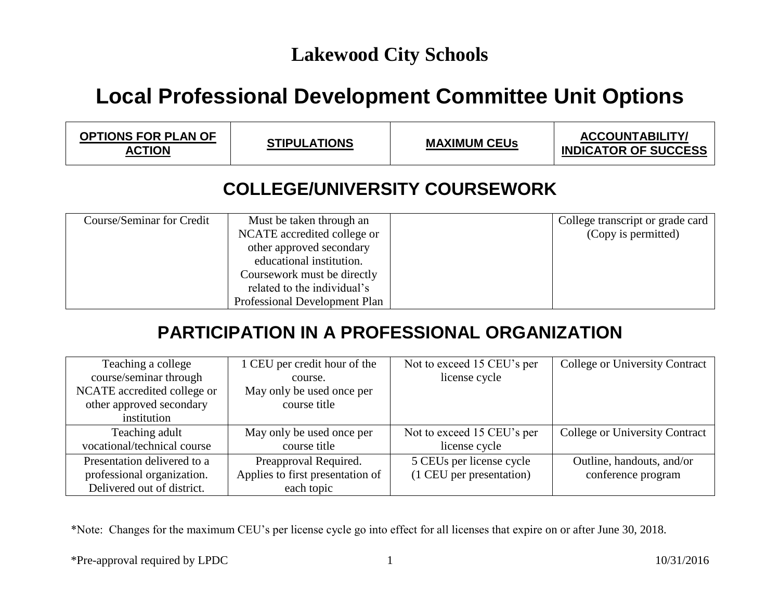## **Local Professional Development Committee Unit Options**

| <b>OPTIONS FOR PLAN OF</b><br><b>ACTION</b> | <b>STIPULATIONS</b> | <b>MAXIMUM CEUs</b> | <b>ACCOUNTABILITY/</b><br><b>INDICATOR OF SUCCESS</b> |
|---------------------------------------------|---------------------|---------------------|-------------------------------------------------------|
|---------------------------------------------|---------------------|---------------------|-------------------------------------------------------|

### **COLLEGE/UNIVERSITY COURSEWORK**

| Course/Seminar for Credit | Must be taken through an      | College transcript or grade card |
|---------------------------|-------------------------------|----------------------------------|
|                           | NCATE accredited college or   | (Copy is permitted)              |
|                           | other approved secondary      |                                  |
|                           | educational institution.      |                                  |
|                           | Coursework must be directly   |                                  |
|                           | related to the individual's   |                                  |
|                           | Professional Development Plan |                                  |

### **PARTICIPATION IN A PROFESSIONAL ORGANIZATION**

| Teaching a college          | 1 CEU per credit hour of the     | Not to exceed 15 CEU's per | <b>College or University Contract</b> |
|-----------------------------|----------------------------------|----------------------------|---------------------------------------|
| course/seminar through      | course.                          | license cycle              |                                       |
| NCATE accredited college or | May only be used once per        |                            |                                       |
| other approved secondary    | course title                     |                            |                                       |
| institution                 |                                  |                            |                                       |
| Teaching adult              | May only be used once per        | Not to exceed 15 CEU's per | <b>College or University Contract</b> |
| vocational/technical course | course title                     | license cycle              |                                       |
| Presentation delivered to a | Preapproval Required.            | 5 CEUs per license cycle   | Outline, handouts, and/or             |
| professional organization.  | Applies to first presentation of | (1 CEU per presentation)   | conference program                    |
| Delivered out of district.  | each topic                       |                            |                                       |

\*Note: Changes for the maximum CEU's per license cycle go into effect for all licenses that expire on or after June 30, 2018.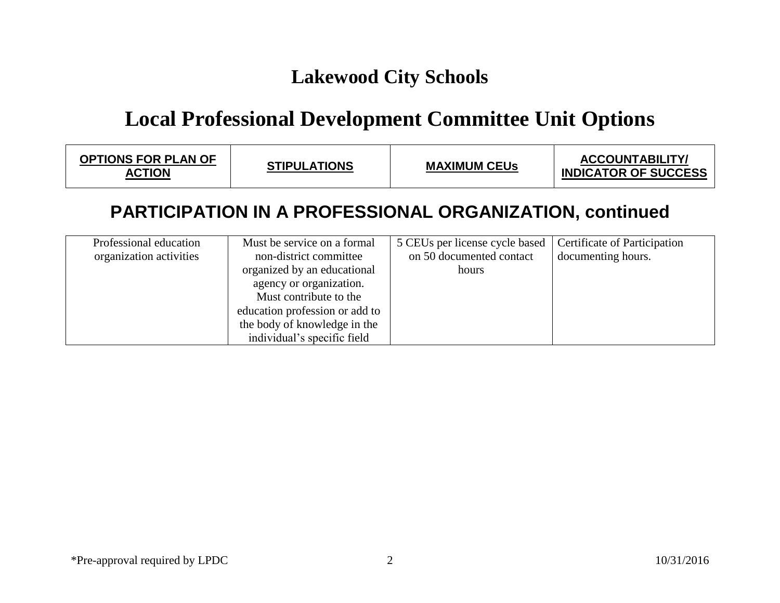## **Local Professional Development Committee Unit Options**

| <b>OPTIONS FOR PLAN OF</b><br><b>ACTION</b> | <b>STIPULATIONS</b> | <b>MAXIMUM CEUS</b> | <b>ACCOUNTABILITY/</b><br><b>INDICATOR OF SUCCESS</b> |
|---------------------------------------------|---------------------|---------------------|-------------------------------------------------------|
|---------------------------------------------|---------------------|---------------------|-------------------------------------------------------|

#### **PARTICIPATION IN A PROFESSIONAL ORGANIZATION, continued**

| Professional education  | Must be service on a formal    | 5 CEUs per license cycle based | Certificate of Participation |
|-------------------------|--------------------------------|--------------------------------|------------------------------|
| organization activities | non-district committee         | on 50 documented contact       | documenting hours.           |
|                         | organized by an educational    | hours                          |                              |
|                         | agency or organization.        |                                |                              |
|                         | Must contribute to the         |                                |                              |
|                         | education profession or add to |                                |                              |
|                         | the body of knowledge in the   |                                |                              |
|                         | individual's specific field    |                                |                              |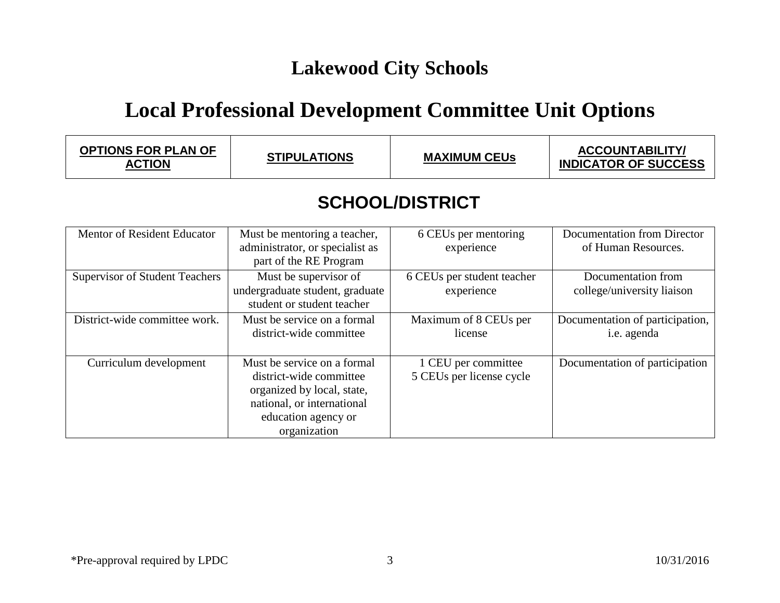## **Local Professional Development Committee Unit Options**

| <b>OPTIONS FOR PLAN OF</b><br>ACTION | <b>STIPULATIONS</b> | <b>MAXIMUM CEUs</b> | <b>ACCOUNTABILITY/</b><br><b>INDICATOR OF SUCCESS</b> |
|--------------------------------------|---------------------|---------------------|-------------------------------------------------------|
|                                      |                     |                     |                                                       |

### **SCHOOL/DISTRICT**

| Mentor of Resident Educator           | Must be mentoring a teacher,    | 6 CEUs per mentoring       | Documentation from Director     |
|---------------------------------------|---------------------------------|----------------------------|---------------------------------|
|                                       | administrator, or specialist as | experience                 | of Human Resources.             |
|                                       |                                 |                            |                                 |
|                                       | part of the RE Program          |                            |                                 |
| <b>Supervisor of Student Teachers</b> | Must be supervisor of           | 6 CEUs per student teacher | Documentation from              |
|                                       | undergraduate student, graduate | experience                 | college/university liaison      |
|                                       | student or student teacher      |                            |                                 |
|                                       |                                 |                            |                                 |
| District-wide committee work.         | Must be service on a formal     | Maximum of 8 CEUs per      | Documentation of participation, |
|                                       | district-wide committee         | license                    | i.e. agenda                     |
|                                       |                                 |                            |                                 |
|                                       |                                 |                            |                                 |
| Curriculum development                | Must be service on a formal     | 1 CEU per committee        | Documentation of participation  |
|                                       | district-wide committee         | 5 CEUs per license cycle   |                                 |
|                                       |                                 |                            |                                 |
|                                       | organized by local, state,      |                            |                                 |
|                                       | national, or international      |                            |                                 |
|                                       | education agency or             |                            |                                 |
|                                       | organization                    |                            |                                 |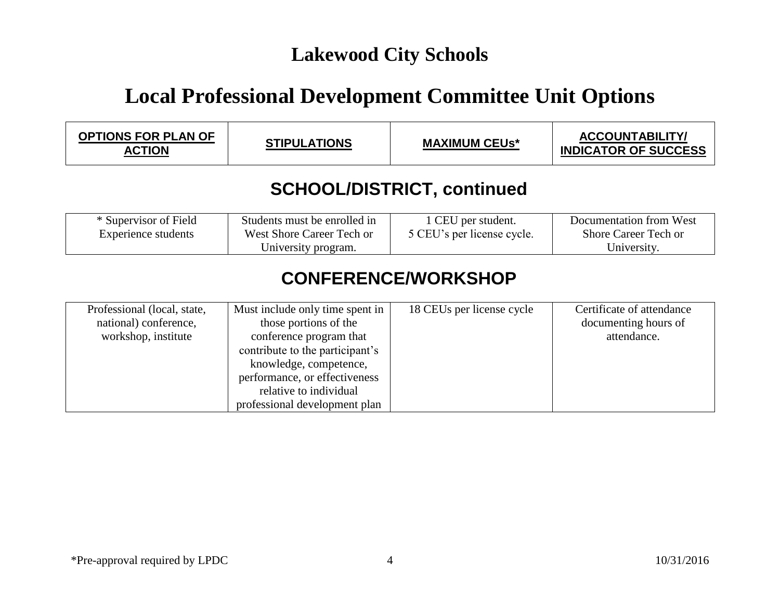# **Local Professional Development Committee Unit Options**

| <b>OPTIONS FOR PLAN OF</b><br><b>ACTION</b> | <b>STIPULATIONS</b> | <b>MAXIMUM CEUs*</b> | <b>ACCOUNTABILITY/</b><br><b>INDICATOR OF SUCCESS</b> |  |
|---------------------------------------------|---------------------|----------------------|-------------------------------------------------------|--|
| <b>SCHOOL/DISTRICT, continued</b>           |                     |                      |                                                       |  |

| * Supervisor of Field | Students must be enrolled in | 1 CEU per student.         | Documentation from West |
|-----------------------|------------------------------|----------------------------|-------------------------|
| Experience students   | West Shore Career Tech or    | 5 CEU's per license cycle. | Shore Career Tech or    |
|                       | University program.          |                            | University.             |

### **CONFERENCE/WORKSHOP**

| Professional (local, state,<br>national) conference,<br>workshop, institute | Must include only time spent in<br>those portions of the<br>conference program that<br>contribute to the participant's<br>knowledge, competence, | 18 CEUs per license cycle | Certificate of attendance<br>documenting hours of<br>attendance. |
|-----------------------------------------------------------------------------|--------------------------------------------------------------------------------------------------------------------------------------------------|---------------------------|------------------------------------------------------------------|
|                                                                             | performance, or effectiveness<br>relative to individual<br>professional development plan                                                         |                           |                                                                  |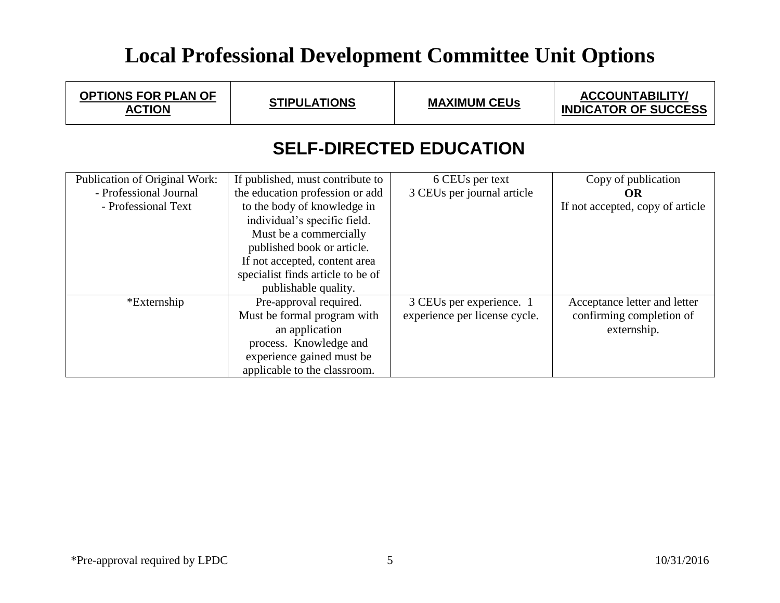# **Local Professional Development Committee Unit Options**

| <b>OPTIONS FOR PLAN OF</b><br><b>ACTION</b>                                    | <b>STIPULATIONS</b>                                                                                                                                                                                                                                                                      | <b>MAXIMUM CEUS</b>                                       | <b>ACCOUNTABILITY/</b><br><b>INDICATOR OF SUCCESS</b>                   |  |
|--------------------------------------------------------------------------------|------------------------------------------------------------------------------------------------------------------------------------------------------------------------------------------------------------------------------------------------------------------------------------------|-----------------------------------------------------------|-------------------------------------------------------------------------|--|
| <b>SELF-DIRECTED EDUCATION</b>                                                 |                                                                                                                                                                                                                                                                                          |                                                           |                                                                         |  |
| Publication of Original Work:<br>- Professional Journal<br>- Professional Text | If published, must contribute to<br>the education profession or add<br>to the body of knowledge in<br>individual's specific field.<br>Must be a commercially<br>published book or article.<br>If not accepted, content area<br>specialist finds article to be of<br>publishable quality. | 6 CEUs per text<br>3 CEUs per journal article             | Copy of publication<br><b>OR</b><br>If not accepted, copy of article    |  |
| *Externship                                                                    | Pre-approval required.<br>Must be formal program with<br>an application<br>process. Knowledge and<br>experience gained must be<br>applicable to the classroom.                                                                                                                           | 3 CEUs per experience. 1<br>experience per license cycle. | Acceptance letter and letter<br>confirming completion of<br>externship. |  |